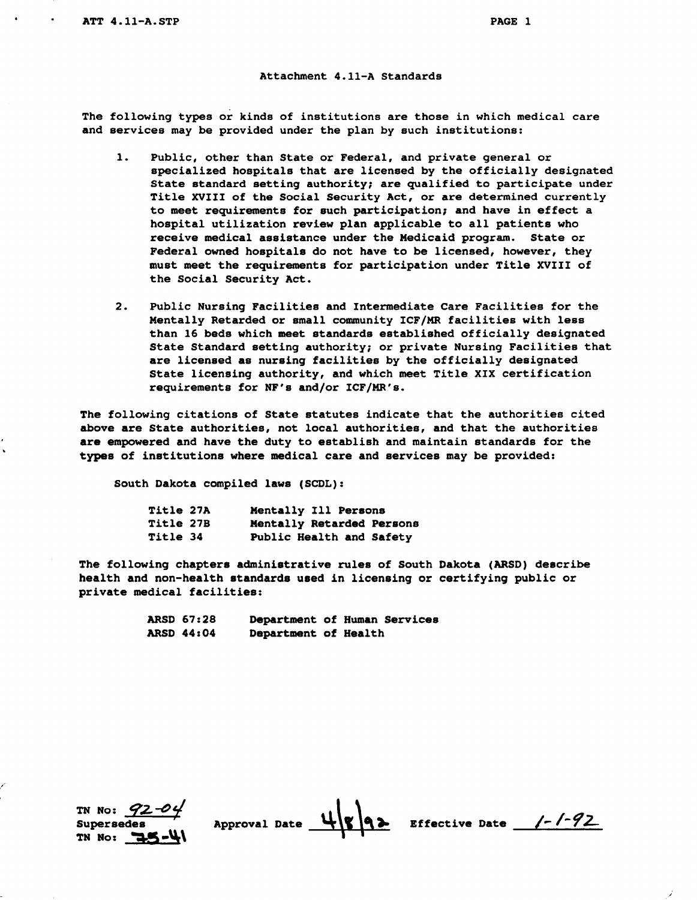## **Attachment 4.11-A Standards**

**The following types** or **kinds of institutions arethose in which medical care**  and services may be provided under the plan by such institutions:

- **1. Public, other than State or Federal, and private general or specialized hospitals that are licensed by the officially designated**  State standard setting authority; are qualified to participate under Title XVIII of the Social Security Act, or are determined currently **to meet requirements for such participation; and have in aeffect hospital utilization review plan applicable to all patients who receive medical assistance underthe Medicaid program. State or**  Federal owned hospitals do not have to be licensed, however, they **must meetthe requirements for participation under Title XVIII of the Social Security Act.**
- **2. Public Nursing Facilities and Intermediate Care Facilities for the Mentally Retardedor small community ICF/MRfacilities with less than 16 beds whichmeet standards established officially designated**  State Standard setting authority; or private Nursing Facilities that **are licensed as nursing facilitiesby the officially designated State licensing authority, and which meet Title XIX certification requirements for NF's and/or ICF/MR's.**

**that The following citations of State statutes indicate the authorities cited above are State authorities, not local authorities, andthat the authorities are empowered and have the duty to establish and maintain standards for the types of institutions where medical care andservices may be provided:** 

**South Dakota compiled laws(SOL):** 

| <b>Title 27A</b> | Mentally Ill Persons      |  |
|------------------|---------------------------|--|
| Title 27B        | Mentally Retarded Persons |  |
| Title 34         | Public Health and Safety  |  |

**The following chapters administrative rulesof South Dakota (ARSD) describe health and non-health standards used in licensing or certifying public or private medical facilities:** 

| <b>ARSD 67:28</b> |                      | Department of Human Services |
|-------------------|----------------------|------------------------------|
| <b>ARSD 44:04</b> | Department of Health |                              |



.



**Approval** +\ **Effective Date** *1-1-72* 

 $\mathcal{L}^{\pm}$